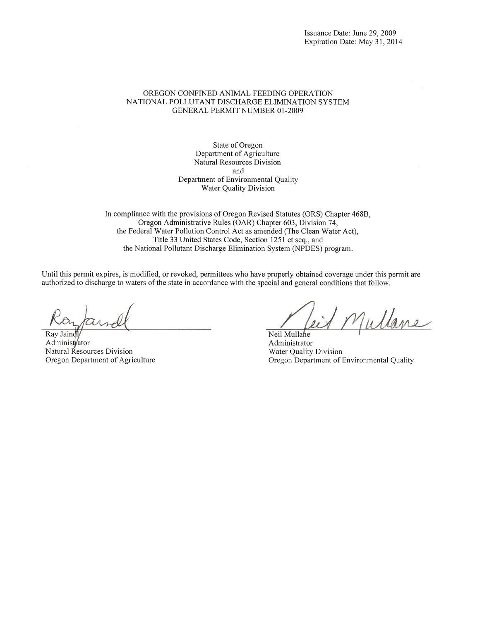#### OREGON CONFINED ANIMAL FEEDING OPERATION NATIONAL POLLUTANT DISCHARGE ELIMINATION SYSTEM **GENERAL PERMIT NUMBER 01-2009**

State of Oregon Department of Agriculture Natural Resources Division and Department of Environmental Quality Water Quality Division

In compliance with the provisions of Oregon Revised Statutes (ORS) Chapter 468B, Oregon Administrative Rules (OAR) Chapter 603, Division 74, the Federal Water Pollution Control Act as amended (The Clean Water Act), Title 33 United States Code, Section 1251 et seq., and the National Pollutant Discharge Elimination System (NPDES) program.

Until this permit expires, is modified, or revoked, permittees who have properly obtained coverage under this permit are authorized to discharge to waters of the state in accordance with the special and general conditions that follow.

Ray Jaindl Administrator Natural Resources Division Oregon Department of Agriculture

Mullane

Neil Mullahe Administrator Water Quality Division Oregon Department of Environmental Quality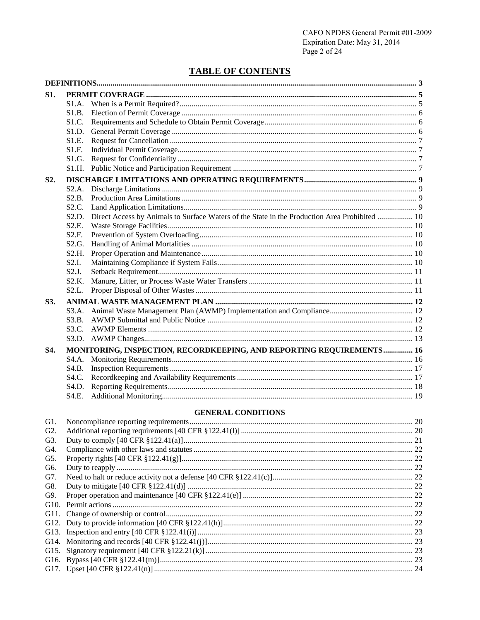# **TABLE OF CONTENTS**

| S1.            |                    |                                                                                               |  |  |
|----------------|--------------------|-----------------------------------------------------------------------------------------------|--|--|
|                | S1.A.              |                                                                                               |  |  |
|                | S1.B.              |                                                                                               |  |  |
|                | S1.C.              |                                                                                               |  |  |
|                | S1.D.              |                                                                                               |  |  |
|                | S1.E.              |                                                                                               |  |  |
|                | S1.F.              |                                                                                               |  |  |
|                | S1.G.              |                                                                                               |  |  |
|                | S1.H.              |                                                                                               |  |  |
| S2.            |                    |                                                                                               |  |  |
|                | S2.A.              |                                                                                               |  |  |
|                | S2.B.              |                                                                                               |  |  |
|                | S2.C.              |                                                                                               |  |  |
|                | S2.D.              | Direct Access by Animals to Surface Waters of the State in the Production Area Prohibited  10 |  |  |
|                | S2.E.              |                                                                                               |  |  |
|                | S2.F.              |                                                                                               |  |  |
|                | S <sub>2</sub> .G. |                                                                                               |  |  |
|                | S2.H.              |                                                                                               |  |  |
|                | S2.I.              |                                                                                               |  |  |
|                | S2.J.              |                                                                                               |  |  |
|                | S2.K.              |                                                                                               |  |  |
|                | S2.L.              |                                                                                               |  |  |
| S3.            |                    |                                                                                               |  |  |
|                | S3.A.              |                                                                                               |  |  |
|                | S3.B.              |                                                                                               |  |  |
|                | S3.C.              |                                                                                               |  |  |
|                |                    |                                                                                               |  |  |
| S4.            |                    | MONITORING, INSPECTION, RECORDKEEPING, AND REPORTING REQUIREMENTS 16                          |  |  |
|                | S4.A.              |                                                                                               |  |  |
|                | S4.B.              |                                                                                               |  |  |
|                | S4.C.              |                                                                                               |  |  |
|                | S4.D.              |                                                                                               |  |  |
|                | S4.E.              |                                                                                               |  |  |
|                |                    | <b>GENERAL CONDITIONS</b>                                                                     |  |  |
| G1.            |                    |                                                                                               |  |  |
| G2.            |                    |                                                                                               |  |  |
| G <sub>3</sub> |                    | Duty to comply $[40 \text{ CFR } 8122 \, 41(a)]$ 21                                           |  |  |

| G3. |  |
|-----|--|
| G4. |  |
| G5. |  |
| G6. |  |
| G7. |  |
| G8. |  |
| G9. |  |
|     |  |
|     |  |
|     |  |
|     |  |
|     |  |
|     |  |
|     |  |
|     |  |
|     |  |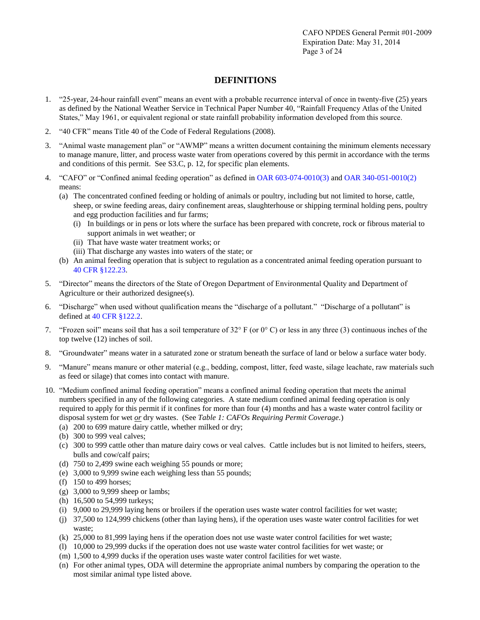## **DEFINITIONS**

- 1. "25-year, 24-hour rainfall event" means an event with a probable recurrence interval of once in twenty-five (25) years as defined by the National Weather Service in Technical Paper Number 40, "Rainfall Frequency Atlas of the United States," May 1961, or equivalent regional or state rainfall probability information developed from this source.
- 2. "40 CFR" means Title 40 of the Code of Federal Regulations (2008).
- 3. "Animal waste management plan" or "AWMP" means a written document containing the minimum elements necessary to manage manure, litter, and process waste water from operations covered by this permit in accordance with the terms and conditions of this permit. See S3.C, p. 12, for specific plan elements.
- 4. "CAFO" or "Confined animal feeding operation" as defined in [OAR 603-074-0010\(3\)](http://arcweb.sos.state.or.us/rules/OARS_600/OAR_603/603_074.html) and [OAR 340-051-0010\(2\)](http://arcweb.sos.state.or.us/rules/OARs_300/OAR_340/340_051.html) means:
	- (a) The concentrated confined feeding or holding of animals or poultry, including but not limited to horse, cattle, sheep, or swine feeding areas, dairy confinement areas, slaughterhouse or shipping terminal holding pens, poultry and egg production facilities and fur farms;
		- (i) In buildings or in pens or lots where the surface has been prepared with concrete, rock or fibrous material to support animals in wet weather; or
		- (ii) That have waste water treatment works; or
		- (iii) That discharge any wastes into waters of the state; or
	- (b) An animal feeding operation that is subject to regulation as a concentrated animal feeding operation pursuant to 40 [CFR §122.23.](http://ecfr.gpoaccess.gov/cgi/t/text/text-idx?c=ecfr&rgn=div5&view=text&node=40:21.0.1.1.12&idno=40#40:21.0.1.1.12.2.6.3)
- 5. "Director" means the directors of the State of Oregon Department of Environmental Quality and Department of Agriculture or their authorized designee(s).
- 6. "Discharge" when used without qualification means the "discharge of a pollutant." "Discharge of a pollutant" is defined a[t 40 CFR §122.2.](http://ecfr.gpoaccess.gov/cgi/t/text/text-idx?c=ecfr&rgn=div5&view=text&node=40:21.0.1.1.12&idno=40)
- 7. "Frozen soil" means soil that has a soil temperature of  $32^{\circ}$  F (or  $0^{\circ}$  C) or less in any three (3) continuous inches of the top twelve (12) inches of soil.
- 8. "Groundwater" means water in a saturated zone or stratum beneath the surface of land or below a surface water body.
- 9. "Manure" means manure or other material (e.g., bedding, compost, litter, feed waste, silage leachate, raw materials such as feed or silage) that comes into contact with manure.
- 10. "Medium confined animal feeding operation" means a confined animal feeding operation that meets the animal numbers specified in any of the following categories. A state medium confined animal feeding operation is only required to apply for this permit if it confines for more than four (4) months and has a waste water control facility or disposal system for wet *or* dry wastes. (See *Table 1: CAFOs Requiring Permit Coverage.*)
	- (a) 200 to 699 mature dairy cattle, whether milked or dry;
	- (b) 300 to 999 veal calves;
	- (c) 300 to 999 cattle other than mature dairy cows or veal calves. Cattle includes but is not limited to heifers, steers, bulls and cow/calf pairs;
	- (d) 750 to 2,499 swine each weighing 55 pounds or more;
	- (e) 3,000 to 9,999 swine each weighing less than 55 pounds;
	- (f) 150 to 499 horses;
	- (g) 3,000 to 9,999 sheep or lambs;
	- (h) 16,500 to 54,999 turkeys;
	- (i) 9,000 to 29,999 laying hens or broilers if the operation uses waste water control facilities for wet waste;
	- (j) 37,500 to 124,999 chickens (other than laying hens), if the operation uses waste water control facilities for wet waste;
	- (k) 25,000 to 81,999 laying hens if the operation does not use waste water control facilities for wet waste;
	- (l) 10,000 to 29,999 ducks if the operation does not use waste water control facilities for wet waste; or
	- (m) 1,500 to 4,999 ducks if the operation uses waste water control facilities for wet waste.
	- (n) For other animal types, ODA will determine the appropriate animal numbers by comparing the operation to the most similar animal type listed above.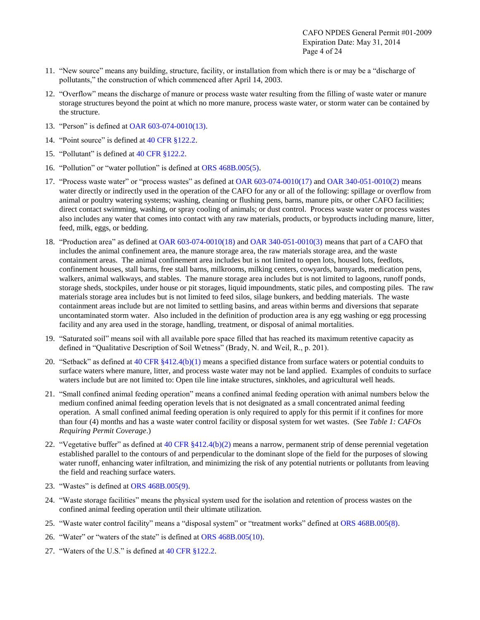- 11. "New source" means any building, structure, facility, or installation from which there is or may be a "discharge of pollutants," the construction of which commenced after April 14, 2003.
- 12. "Overflow" means the discharge of manure or process waste water resulting from the filling of waste water or manure storage structures beyond the point at which no more manure, process waste water, or storm water can be contained by the structure.
- 13. "Person" is defined at [OAR 603-074-0010\(13\).](http://arcweb.sos.state.or.us/rules/OARS_600/OAR_603/603_074.html)
- 14. "Point source" is defined at [40 CFR §122.2.](http://ecfr.gpoaccess.gov/cgi/t/text/text-idx?c=ecfr&rgn=div5&view=text&node=40:21.0.1.1.12&idno=40)
- 15. "Pollutant" is defined at [40 CFR §122.2.](http://ecfr.gpoaccess.gov/cgi/t/text/text-idx?c=ecfr&rgn=div5&view=text&node=40:21.0.1.1.12&idno=40)
- 16. "Pollution" or "water pollution" is defined at [ORS 468B.005\(5\).](http://landru.leg.state.or.us/ors/468b.html)
- 17. "Process waste water" or "process wastes" as defined at [OAR 603-074-0010\(17\)](http://arcweb.sos.state.or.us/rules/OARS_600/OAR_603/603_074.html) and [OAR 340-051-0010\(2\)](http://arcweb.sos.state.or.us/rules/OARs_300/OAR_340/340_051.html) means water directly or indirectly used in the operation of the CAFO for any or all of the following: spillage or overflow from animal or poultry watering systems; washing, cleaning or flushing pens, barns, manure pits, or other CAFO facilities; direct contact swimming, washing, or spray cooling of animals; or dust control. Process waste water or process wastes also includes any water that comes into contact with any raw materials, products, or byproducts including manure, litter, feed, milk, eggs, or bedding.
- 18. "Production area" as defined at [OAR 603-074-0010\(18\)](http://arcweb.sos.state.or.us/rules/OARS_600/OAR_603/603_074.html) and [OAR 340-051-0010\(3\)](http://arcweb.sos.state.or.us/rules/OARs_300/OAR_340/340_051.html) means that part of a CAFO that includes the animal confinement area, the manure storage area, the raw materials storage area, and the waste containment areas. The animal confinement area includes but is not limited to open lots, housed lots, feedlots, confinement houses, stall barns, free stall barns, milkrooms, milking centers, cowyards, barnyards, medication pens, walkers, animal walkways, and stables. The manure storage area includes but is not limited to lagoons, runoff ponds, storage sheds, stockpiles, under house or pit storages, liquid impoundments, static piles, and composting piles. The raw materials storage area includes but is not limited to feed silos, silage bunkers, and bedding materials. The waste containment areas include but are not limited to settling basins, and areas within berms and diversions that separate uncontaminated storm water. Also included in the definition of production area is any egg washing or egg processing facility and any area used in the storage, handling, treatment, or disposal of animal mortalities.
- 19. "Saturated soil" means soil with all available pore space filled that has reached its maximum retentive capacity as defined in "Qualitative Description of Soil Wetness" (Brady, N. and Weil, R., p. 201).
- 20. "Setback" as defined at  $40$  CFR  $\S412.4(b)(1)$  means a specified distance from surface waters or potential conduits to surface waters where manure, litter, and process waste water may not be land applied. Examples of conduits to surface waters include but are not limited to: Open tile line intake structures, sinkholes, and agricultural well heads.
- 21. "Small confined animal feeding operation" means a confined animal feeding operation with animal numbers below the medium confined animal feeding operation levels that is not designated as a small concentrated animal feeding operation. A small confined animal feeding operation is only required to apply for this permit if it confines for more than four (4) months and has a waste water control facility or disposal system for wet wastes. (See *Table 1: CAFOs Requiring Permit Coverage*.)
- 22. "Vegetative buffer" as defined at 40 CFR  $$412.4(b)(2)$  means a narrow, permanent strip of dense perennial vegetation established parallel to the contours of and perpendicular to the dominant slope of the field for the purposes of slowing water runoff, enhancing water infiltration, and minimizing the risk of any potential nutrients or pollutants from leaving the field and reaching surface waters.
- 23. "Wastes" is defined at [ORS 468B.005\(9\).](http://landru.leg.state.or.us/ors/468b.html)
- 24. "Waste storage facilities" means the physical system used for the isolation and retention of process wastes on the confined animal feeding operation until their ultimate utilization.
- 25. "Waste water control facility" means a "disposal system" or "treatment works" defined at [ORS 468B.005\(8\).](http://landru.leg.state.or.us/ors/468b.html)
- 26. "Water" or "waters of the state" is defined at [ORS 468B.005\(10\).](http://landru.leg.state.or.us/ors/468b.html)
- 27. "Waters of the U.S." is defined at [40 CFR §122.2.](http://ecfr.gpoaccess.gov/cgi/t/text/text-idx?c=ecfr&rgn=div5&view=text&node=40:21.0.1.1.12&idno=40#40:21.0.1.1.12.1.6.2)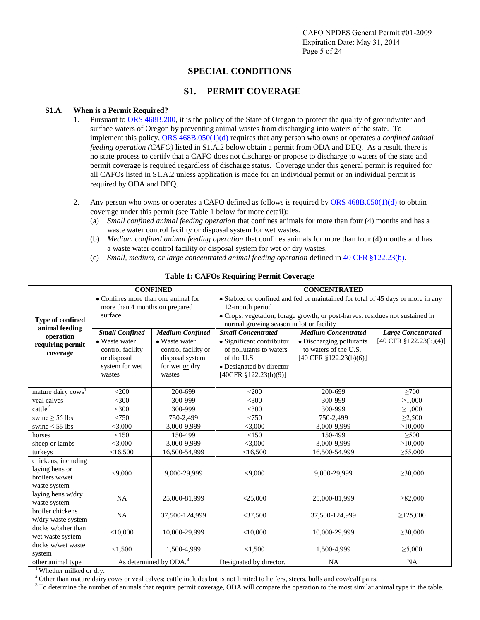## **SPECIAL CONDITIONS**

## **S1. PERMIT COVERAGE**

## **S1.A. When is a Permit Required?**

- 1. Pursuant to [ORS 468B.200,](http://landru.leg.state.or.us/ors/468b.html) it is the policy of the State of Oregon to protect the quality of groundwater and surface waters of Oregon by preventing animal wastes from discharging into waters of the state. To implement this policy[, ORS 468B.050\(1\)\(d\)](http://landru.leg.state.or.us/ors/468b.html) requires that any person who owns or operates a *confined animal feeding operation (CAFO)* listed in S1.A.2 below obtain a permit from ODA and DEQ. As a result, there is no state process to certify that a CAFO does not discharge or propose to discharge to waters of the state and permit coverage is required regardless of discharge status. Coverage under this general permit is required for all CAFOs listed in S1.A.2 unless application is made for an individual permit or an individual permit is required by ODA and DEQ.
- 2. Any person who owns or operates a CAFO defined as follows is required by [ORS 468B.050\(1\)\(d\)](http://landru.leg.state.or.us/ors/468b.html) to obtain coverage under this permit (see Table 1 below for more detail):
	- (a) *Small confined animal feeding operation* that confines animals for more than four (4) months and has a waste water control facility or disposal system for wet wastes.
	- (b) *Medium confined animal feeding operation* that confines animals for more than four (4) months and has a waste water control facility or disposal system for wet *or* dry wastes.
	- (c) *Small, medium, or large concentrated animal feeding operation* defined i[n 40 CFR §122.23\(b\).](http://ecfr.gpoaccess.gov/cgi/t/text/text-idx?c=ecfr&rgn=div5&view=text&node=40:21.0.1.1.12&idno=40)

|                                        | <b>CONFINED</b>                     |                                    | <b>CONCENTRATED</b>                                                             |                            |                           |  |
|----------------------------------------|-------------------------------------|------------------------------------|---------------------------------------------------------------------------------|----------------------------|---------------------------|--|
|                                        | • Confines more than one animal for |                                    | • Stabled or confined and fed or maintained for total of 45 days or more in any |                            |                           |  |
|                                        | more than 4 months on prepared      |                                    | 12-month period                                                                 |                            |                           |  |
| Type of confined                       | surface                             |                                    | · Crops, vegetation, forage growth, or post-harvest residues not sustained in   |                            |                           |  |
| animal feeding                         |                                     |                                    | normal growing season in lot or facility                                        |                            |                           |  |
| operation                              | <b>Small Confined</b>               | <b>Medium Confined</b>             | <b>Small Concentrated</b>                                                       | <b>Medium Concentrated</b> | <b>Large Concentrated</b> |  |
| requiring permit                       | • Waste water                       | • Waste water                      | · Significant contributor                                                       | • Discharging pollutants   | [40 CFR $$122.23(b)(4)]$  |  |
| coverage                               | control facility                    | control facility or                | of pollutants to waters                                                         | to waters of the U.S.      |                           |  |
|                                        | or disposal                         | disposal system                    | of the U.S.                                                                     | [40 CFR $$122.23(b)(6)$ ]  |                           |  |
|                                        | system for wet                      | for wet or dry                     | • Designated by director                                                        |                            |                           |  |
|                                        | wastes                              | wastes                             | $[40CFR \frac{8}{2}122.23(b)(9)]$                                               |                            |                           |  |
|                                        |                                     |                                    |                                                                                 |                            |                           |  |
| mature dairy cows <sup>1</sup>         | $<$ 200                             | 200-699                            | $<$ 200                                                                         | 200-699                    | $\geq 700$                |  |
| veal calves                            | $<$ 300                             | 300-999                            | $<$ 300                                                                         | 300-999                    | $\geq 1,000$              |  |
| $c$ attle <sup>2</sup>                 | $<$ 300                             | 300-999                            | $<$ 300                                                                         | 300-999                    | $\geq 1,000$              |  |
| swine $\geq$ 55 lbs                    | < 750                               | 750-2,499                          | < 750                                                                           | 750-2,499                  | $\geq 2,500$              |  |
| swine $<$ 55 lbs                       | < 3,000                             | 3,000-9,999                        | < 3,000                                                                         | 3,000-9,999                | $\geq 10,000$             |  |
| horses                                 | < 150                               | 150-499                            | <150                                                                            | 150-499                    | $\geq 500$                |  |
| sheep or lambs                         | $<$ 3,000                           | 3,000-9,999                        | $<$ 3,000                                                                       | 3,000-9,999                | $\geq 10,000$             |  |
| turkeys                                | <16,500                             | 16,500-54,999                      | <16,500                                                                         | 16,500-54,999              | $\geq 55,000$             |  |
| chickens, including<br>laying hens or  |                                     |                                    |                                                                                 |                            |                           |  |
| broilers w/wet                         | < 9,000                             | 9,000-29,999                       | < 9,000                                                                         | 9,000-29,999               | $\geq 30,000$             |  |
| waste system                           |                                     |                                    |                                                                                 |                            |                           |  |
| laying hens w/dry<br>waste system      | NA                                  | 25.000-81.999                      | $<$ 25,000                                                                      | 25,000-81,999              | $\geq 82,000$             |  |
| broiler chickens<br>w/dry waste system | <b>NA</b>                           | 37,500-124,999                     | $<$ 37,500                                                                      | 37,500-124,999             | $\geq$ 125,000            |  |
| ducks w/other than<br>wet waste system | $<$ 10,000                          | 10,000-29,999                      | $<$ 10,000                                                                      | 10,000-29,999              | $\geq 30,000$             |  |
| ducks w/wet waste<br>system            | < 1,500                             | 1,500-4,999                        | < 1,500                                                                         | 1,500-4,999                | $\geq 5,000$              |  |
| other animal type<br>1.000 1 11 1      |                                     | As determined by ODA. <sup>3</sup> | Designated by director.                                                         | <b>NA</b>                  | <b>NA</b>                 |  |

## **Table 1: CAFOs Requiring Permit Coverage**

<sup>1</sup>Whether milked or dry.

 $2$  Other than mature dairy cows or veal calves; cattle includes but is not limited to heifers, steers, bulls and cow/calf pairs.

 $3$ To determine the number of animals that require permit coverage, ODA will compare the operation to the most similar animal type in the table.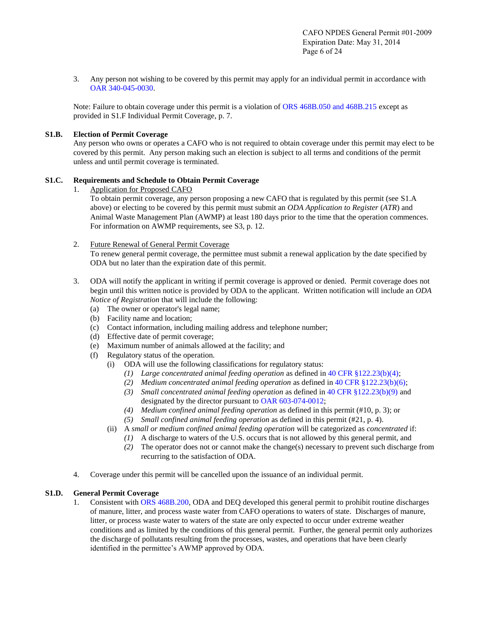3. Any person not wishing to be covered by this permit may apply for an individual permit in accordance with [OAR 340-045-0030.](http://arcweb.sos.state.or.us/rules/OARs_300/OAR_340/340_045.html)

Note: Failure to obtain coverage under this permit is a violation of [ORS 468B.050 and 468B.215](http://www.leg.state.or.us/ors/468b.html) except as provided in S1.F Individual Permit Coverage, p. 7.

### **S1.B. Election of Permit Coverage**

Any person who owns or operates a CAFO who is not required to obtain coverage under this permit may elect to be covered by this permit. Any person making such an election is subject to all terms and conditions of the permit unless and until permit coverage is terminated.

### **S1.C. Requirements and Schedule to Obtain Permit Coverage**

1. Application for Proposed CAFO

To obtain permit coverage, any person proposing a new CAFO that is regulated by this permit (see S1.A above) or electing to be covered by this permit must submit an *ODA Application to Register* (*ATR*) and Animal Waste Management Plan (AWMP) at least 180 days prior to the time that the operation commences. For information on AWMP requirements, see S3, p. 12.

## 2. Future Renewal of General Permit Coverage

To renew general permit coverage, the permittee must submit a renewal application by the date specified by ODA but no later than the expiration date of this permit.

- 3. ODA will notify the applicant in writing if permit coverage is approved or denied. Permit coverage does not begin until this written notice is provided by ODA to the applicant. Written notification will include an *ODA Notice of Registration* that will include the following:
	- (a) The owner or operator's legal name;
	- (b) Facility name and location;
	- (c) Contact information, including mailing address and telephone number;
	- (d) Effective date of permit coverage;
	- (e) Maximum number of animals allowed at the facility; and
	- (f) Regulatory status of the operation.
		- (i) ODA will use the following classifications for regulatory status:
			- *(1) Large concentrated animal feeding operation* as defined i[n 40 CFR §122.23\(b\)\(4\);](http://ecfr.gpoaccess.gov/cgi/t/text/text-idx?c=ecfr&rgn=div5&view=text&node=40:21.0.1.1.12&idno=40)
			- *(2) Medium concentrated animal feeding operation* as defined i[n 40 CFR §122.23\(b\)\(6\);](http://ecfr.gpoaccess.gov/cgi/t/text/text-idx?c=ecfr&rgn=div5&view=text&node=40:21.0.1.1.12&idno=40)
			- *(3) Small concentrated animal feeding operation* as defined i[n 40 CFR §122.23\(b\)\(9\)](http://ecfr.gpoaccess.gov/cgi/t/text/text-idx?c=ecfr&rgn=div5&view=text&node=40:21.0.1.1.12&idno=40) and designated by the director pursuant to [OAR 603-074-0012;](http://arcweb.sos.state.or.us/rules/OARS_600/OAR_603/603_074.html)
			- *(4) Medium confined animal feeding operation* as defined in this permit (#10, p. 3); or
			- *(5) Small confined animal feeding operation* as defined in this permit (#21, p. 4).
		- (ii) A *small or medium confined animal feeding operation* will be categorized as *concentrated* if:
			- *(1)* A discharge to waters of the U.S. occurs that is not allowed by this general permit, and
			- *(2)* The operator does not or cannot make the change(s) necessary to prevent such discharge from recurring to the satisfaction of ODA.
- 4. Coverage under this permit will be cancelled upon the issuance of an individual permit.

## **S1.D. General Permit Coverage**

1. Consistent wit[h ORS 468B.200,](http://landru.leg.state.or.us/ors/468b.html) ODA and DEQ developed this general permit to prohibit routine discharges of manure, litter, and process waste water from CAFO operations to waters of state. Discharges of manure, litter, or process waste water to waters of the state are only expected to occur under extreme weather conditions and as limited by the conditions of this general permit. Further, the general permit only authorizes the discharge of pollutants resulting from the processes, wastes, and operations that have been clearly identified in the permittee's AWMP approved by ODA.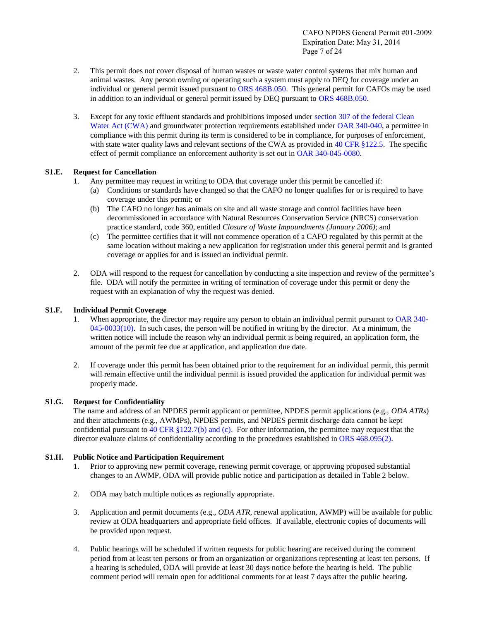- 2. This permit does not cover disposal of human wastes or waste water control systems that mix human and animal wastes. Any person owning or operating such a system must apply to DEQ for coverage under an individual or general permit issued pursuant to [ORS 468B.050.](http://www.leg.state.or.us/ors/468b.html) This general permit for CAFOs may be used in addition to an individual or general permit issued by DEQ pursuant to [ORS 468B.050.](http://www.leg.state.or.us/ors/468b.html)
- 3. Except for any toxic effluent standards and prohibitions imposed under [section 307 of the federal Clean](http://www.epa.gov/npdes/pubs/cwatxt.txt)  [Water Act \(CWA\)](http://www.epa.gov/npdes/pubs/cwatxt.txt) and groundwater protection requirements established under [OAR 340-040,](http://arcweb.sos.state.or.us/rules/OARs_300/OAR_340/340_040.html) a permittee in compliance with this permit during its term is considered to be in compliance, for purposes of enforcement, with state water quality laws and relevant sections of the CWA as provided in [40 CFR §122.5.](http://ecfr.gpoaccess.gov/cgi/t/text/text-idx?c=ecfr&rgn=div5&view=text&node=40:21.0.1.1.12&idno=40) The specific effect of permit compliance on enforcement authority is set out in [OAR 340-045-0080.](http://arcweb.sos.state.or.us/rules/OARs_300/OAR_340/340_045.html)

## **S1.E. Request for Cancellation**

- 1. Any permittee may request in writing to ODA that coverage under this permit be cancelled if:
	- (a) Conditions or standards have changed so that the CAFO no longer qualifies for or is required to have coverage under this permit; or
	- (b) The CAFO no longer has animals on site and all waste storage and control facilities have been decommissioned in accordance with Natural Resources Conservation Service (NRCS) conservation practice standard, code 360, entitled *Closure of Waste Impoundments (January 2006)*; and
	- (c) The permittee certifies that it will not commence operation of a CAFO regulated by this permit at the same location without making a new application for registration under this general permit and is granted coverage or applies for and is issued an individual permit.
- 2. ODA will respond to the request for cancellation by conducting a site inspection and review of the permittee's file. ODA will notify the permittee in writing of termination of coverage under this permit or deny the request with an explanation of why the request was denied.

## **S1.F. Individual Permit Coverage**

- 1. When appropriate, the director may require any person to obtain an individual permit pursuant to [OAR 340-](http://arcweb.sos.state.or.us/rules/OARs_300/OAR_340/340_045.html)  $045-0033(10)$ . In such cases, the person will be notified in writing by the director. At a minimum, the written notice will include the reason why an individual permit is being required, an application form, the amount of the permit fee due at application, and application due date.
- 2. If coverage under this permit has been obtained prior to the requirement for an individual permit, this permit will remain effective until the individual permit is issued provided the application for individual permit was properly made.

## **S1.G. Request for Confidentiality**

The name and address of an NPDES permit applicant or permittee, NPDES permit applications (e.g., *ODA ATRs*) and their attachments (e.g., AWMPs), NPDES permits, and NPDES permit discharge data cannot be kept confidential pursuant to 40 CFR  $\S 122.7(b)$  and (c). For other information, the permittee may request that the director evaluate claims of confidentiality according to the procedures established i[n ORS 468.095\(2\).](http://www.leg.state.or.us/ors/468.html)

## **S1.H. Public Notice and Participation Requirement**

- 1. Prior to approving new permit coverage, renewing permit coverage, or approving proposed substantial changes to an AWMP, ODA will provide public notice and participation as detailed in Table 2 below.
- 2. ODA may batch multiple notices as regionally appropriate.
- 3. Application and permit documents (e.g., *ODA ATR*, renewal application, AWMP) will be available for public review at ODA headquarters and appropriate field offices. If available, electronic copies of documents will be provided upon request.
- 4. Public hearings will be scheduled if written requests for public hearing are received during the comment period from at least ten persons or from an organization or organizations representing at least ten persons. If a hearing is scheduled, ODA will provide at least 30 days notice before the hearing is held. The public comment period will remain open for additional comments for at least 7 days after the public hearing.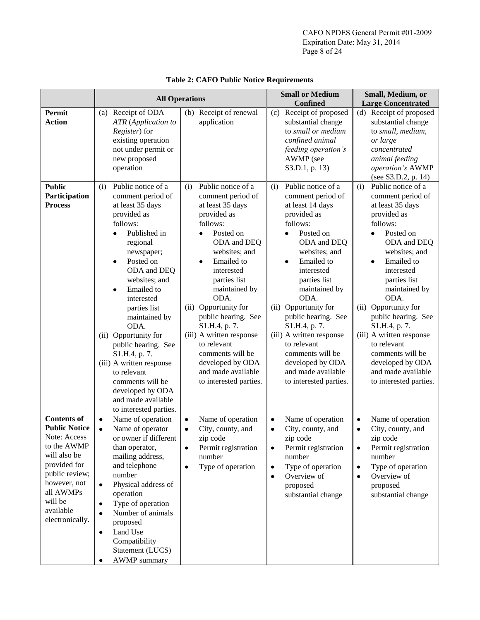|                                                                                                                                                                                                     | <b>All Operations</b>                                                                                                                                                                                                                                                                                                                                                                                                                                                          |                                                                                                                                                                                                                                                                                                                                                                                                                                                 | <b>Small or Medium</b>                                                                                                                                                                                                                                                                                                                                                                                                                          | Small, Medium, or                                                                                                                                                                                                                                                                                                                                                                                                                               |
|-----------------------------------------------------------------------------------------------------------------------------------------------------------------------------------------------------|--------------------------------------------------------------------------------------------------------------------------------------------------------------------------------------------------------------------------------------------------------------------------------------------------------------------------------------------------------------------------------------------------------------------------------------------------------------------------------|-------------------------------------------------------------------------------------------------------------------------------------------------------------------------------------------------------------------------------------------------------------------------------------------------------------------------------------------------------------------------------------------------------------------------------------------------|-------------------------------------------------------------------------------------------------------------------------------------------------------------------------------------------------------------------------------------------------------------------------------------------------------------------------------------------------------------------------------------------------------------------------------------------------|-------------------------------------------------------------------------------------------------------------------------------------------------------------------------------------------------------------------------------------------------------------------------------------------------------------------------------------------------------------------------------------------------------------------------------------------------|
|                                                                                                                                                                                                     |                                                                                                                                                                                                                                                                                                                                                                                                                                                                                |                                                                                                                                                                                                                                                                                                                                                                                                                                                 | Confined                                                                                                                                                                                                                                                                                                                                                                                                                                        | <b>Large Concentrated</b>                                                                                                                                                                                                                                                                                                                                                                                                                       |
| Permit<br><b>Action</b>                                                                                                                                                                             | (a) Receipt of ODA<br><b>ATR</b> (Application to<br>Register) for<br>existing operation<br>not under permit or<br>new proposed<br>operation                                                                                                                                                                                                                                                                                                                                    | (b) Receipt of renewal<br>application                                                                                                                                                                                                                                                                                                                                                                                                           | Receipt of proposed<br>(c)<br>substantial change<br>to small or medium<br>confined animal<br>feeding operation's<br>AWMP (see<br>S3.D.1, p. 13)                                                                                                                                                                                                                                                                                                 | (d) Receipt of proposed<br>substantial change<br>to small, medium,<br>or large<br>concentrated<br>animal feeding<br>operation's AWMP<br>(see S3.D.2, p. 14)                                                                                                                                                                                                                                                                                     |
| <b>Public</b><br>Participation<br><b>Process</b>                                                                                                                                                    | Public notice of a<br>(i)<br>comment period of<br>at least 35 days<br>provided as<br>follows:<br>Published in<br>regional<br>newspaper;<br>Posted on<br>$\bullet$<br>ODA and DEQ<br>websites; and<br>Emailed to<br>٠<br>interested<br>parties list<br>maintained by<br>ODA.<br>(ii) Opportunity for<br>public hearing. See<br>S1.H.4, p. 7.<br>(iii) A written response<br>to relevant<br>comments will be<br>developed by ODA<br>and made available<br>to interested parties. | Public notice of a<br>(i)<br>comment period of<br>at least 35 days<br>provided as<br>follows:<br>Posted on<br>$\bullet$<br>ODA and DEQ<br>websites; and<br>Emailed to<br>$\bullet$<br>interested<br>parties list<br>maintained by<br>ODA.<br>Opportunity for<br>(ii)<br>public hearing. See<br>S1.H.4, p. 7.<br>(iii) A written response<br>to relevant<br>comments will be<br>developed by ODA<br>and made available<br>to interested parties. | Public notice of a<br>(i)<br>comment period of<br>at least 14 days<br>provided as<br>follows:<br>Posted on<br>$\bullet$<br>ODA and DEQ<br>websites; and<br>Emailed to<br>$\bullet$<br>interested<br>parties list<br>maintained by<br>ODA.<br>Opportunity for<br>(ii)<br>public hearing. See<br>S1.H.4, p. 7.<br>(iii) A written response<br>to relevant<br>comments will be<br>developed by ODA<br>and made available<br>to interested parties. | Public notice of a<br>(i)<br>comment period of<br>at least 35 days<br>provided as<br>follows:<br>Posted on<br>$\bullet$<br>ODA and DEQ<br>websites; and<br>Emailed to<br>$\bullet$<br>interested<br>parties list<br>maintained by<br>ODA.<br>Opportunity for<br>(ii)<br>public hearing. See<br>S1.H.4, p. 7.<br>(iii) A written response<br>to relevant<br>comments will be<br>developed by ODA<br>and made available<br>to interested parties. |
| <b>Contents of</b><br><b>Public Notice</b><br>Note: Access<br>to the AWMP<br>will also be<br>provided for<br>public review;<br>however, not<br>all AWMPs<br>will be<br>available<br>electronically. | Name of operation<br>$\bullet$<br>Name of operator<br>$\bullet$<br>or owner if different<br>than operator,<br>mailing address,<br>and telephone<br>number<br>Physical address of<br>$\bullet$<br>operation<br>Type of operation<br>٠<br>Number of animals<br>$\bullet$<br>proposed<br>Land Use<br>٠<br>Compatibility<br>Statement (LUCS)<br><b>AWMP</b> summary                                                                                                                | Name of operation<br>$\bullet$<br>City, county, and<br>$\bullet$<br>zip code<br>Permit registration<br>٠<br>number<br>Type of operation<br>٠                                                                                                                                                                                                                                                                                                    | Name of operation<br>$\bullet$<br>City, county, and<br>$\bullet$<br>zip code<br>Permit registration<br>٠<br>number<br>Type of operation<br>٠<br>Overview of<br>٠<br>proposed<br>substantial change                                                                                                                                                                                                                                              | Name of operation<br>$\bullet$<br>City, county, and<br>$\bullet$<br>zip code<br>Permit registration<br>number<br>Type of operation<br>$\bullet$<br>Overview of<br>proposed<br>substantial change                                                                                                                                                                                                                                                |

## **Table 2: CAFO Public Notice Requirements**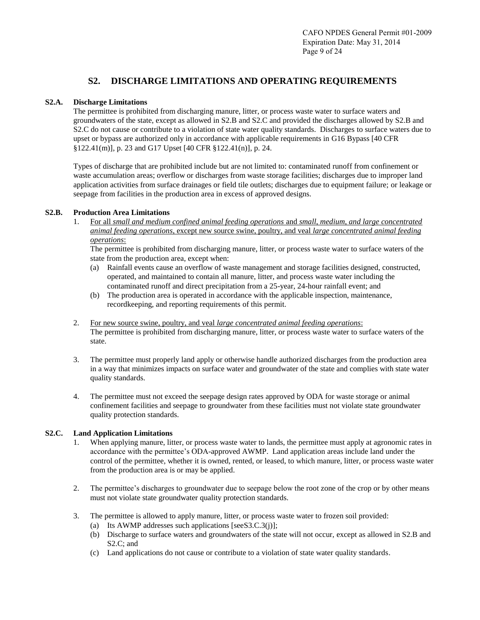## **S2. DISCHARGE LIMITATIONS AND OPERATING REQUIREMENTS**

#### **S2.A. Discharge Limitations**

The permittee is prohibited from discharging manure, litter, or process waste water to surface waters and groundwaters of the state, except as allowed in S2.B and S2.C and provided the discharges allowed by S2.B and S2.C do not cause or contribute to a violation of state water quality standards. Discharges to surface waters due to upset or bypass are authorized only in accordance with applicable requirements in G16 Bypass [40 CFR §122.41(m)], p. 23 and G17 Upset [40 CFR §122.41(n)], p. 24.

Types of discharge that are prohibited include but are not limited to: contaminated runoff from confinement or waste accumulation areas; overflow or discharges from waste storage facilities; discharges due to improper land application activities from surface drainages or field tile outlets; discharges due to equipment failure; or leakage or seepage from facilities in the production area in excess of approved designs.

### **S2.B. Production Area Limitations**

1. For all *small and medium confined animal feeding operations* and *small, medium, and large concentrated animal feeding operations*, except new source swine, poultry, and veal *large concentrated animal feeding operations*:

The permittee is prohibited from discharging manure, litter, or process waste water to surface waters of the state from the production area, except when:

- (a) Rainfall events cause an overflow of waste management and storage facilities designed, constructed, operated, and maintained to contain all manure, litter, and process waste water including the contaminated runoff and direct precipitation from a 25-year, 24-hour rainfall event; and
- (b) The production area is operated in accordance with the applicable inspection, maintenance, recordkeeping, and reporting requirements of this permit.
- 2. For new source swine, poultry, and veal *large concentrated animal feeding operations*: The permittee is prohibited from discharging manure, litter, or process waste water to surface waters of the state.
- 3. The permittee must properly land apply or otherwise handle authorized discharges from the production area in a way that minimizes impacts on surface water and groundwater of the state and complies with state water quality standards.
- 4. The permittee must not exceed the seepage design rates approved by ODA for waste storage or animal confinement facilities and seepage to groundwater from these facilities must not violate state groundwater quality protection standards.

## **S2.C. Land Application Limitations**

- 1. When applying manure, litter, or process waste water to lands, the permittee must apply at agronomic rates in accordance with the permittee's ODA-approved AWMP. Land application areas include land under the control of the permittee, whether it is owned, rented, or leased, to which manure, litter, or process waste water from the production area is or may be applied.
- 2. The permittee's discharges to groundwater due to seepage below the root zone of the crop or by other means must not violate state groundwater quality protection standards.
- 3. The permittee is allowed to apply manure, litter, or process waste water to frozen soil provided: (a) Its AWMP addresses such applications [seeS3.C.3(j)];
	- (b) Discharge to surface waters and groundwaters of the state will not occur, except as allowed in S2.B and S2.C; and
	- (c) Land applications do not cause or contribute to a violation of state water quality standards.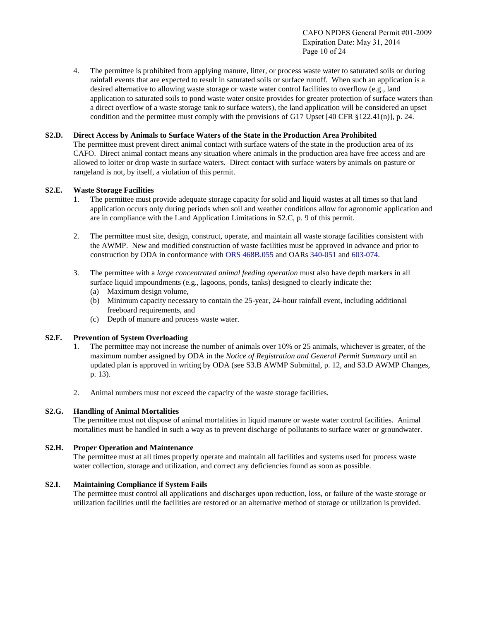4. The permittee is prohibited from applying manure, litter, or process waste water to saturated soils or during rainfall events that are expected to result in saturated soils or surface runoff. When such an application is a desired alternative to allowing waste storage or waste water control facilities to overflow (e.g., land application to saturated soils to pond waste water onsite provides for greater protection of surface waters than a direct overflow of a waste storage tank to surface waters), the land application will be considered an upset condition and the permittee must comply with the provisions of G17 Upset [40 CFR §122.41(n)], p. 24.

## **S2.D. Direct Access by Animals to Surface Waters of the State in the Production Area Prohibited**

The permittee must prevent direct animal contact with surface waters of the state in the production area of its CAFO. Direct animal contact means any situation where animals in the production area have free access and are allowed to loiter or drop waste in surface waters. Direct contact with surface waters by animals on pasture or rangeland is not, by itself, a violation of this permit.

## **S2.E. Waste Storage Facilities**

- 1. The permittee must provide adequate storage capacity for solid and liquid wastes at all times so that land application occurs only during periods when soil and weather conditions allow for agronomic application and are in compliance with the Land Application Limitations in S2.C, p. 9 of this permit.
- 2. The permittee must site, design, construct, operate, and maintain all waste storage facilities consistent with the AWMP. New and modified construction of waste facilities must be approved in advance and prior to construction by ODA in conformance wit[h ORS 468B.055](http://www.leg.state.or.us/ors/468b.html) and OAR[s 340-051](http://arcweb.sos.state.or.us/rules/OARs_300/OAR_340/340_051.html) an[d 603-074.](http://arcweb.sos.state.or.us/rules/OARS_600/OAR_603/603_074.html)
- 3. The permittee with a *large concentrated animal feeding operation* must also have depth markers in all surface liquid impoundments (e.g., lagoons, ponds, tanks) designed to clearly indicate the:
	- (a) Maximum design volume,
	- (b) Minimum capacity necessary to contain the 25-year, 24-hour rainfall event, including additional freeboard requirements, and
	- (c) Depth of manure and process waste water.

## **S2.F. Prevention of System Overloading**

- 1. The permittee may not increase the number of animals over 10% or 25 animals, whichever is greater, of the maximum number assigned by ODA in the *Notice of Registration and General Permit Summary* until an updated plan is approved in writing by ODA (see S3.B AWMP Submittal, p. 12, and S3.D AWMP Changes, p. 13).
- 2. Animal numbers must not exceed the capacity of the waste storage facilities.

## **S2.G. Handling of Animal Mortalities**

The permittee must not dispose of animal mortalities in liquid manure or waste water control facilities. Animal mortalities must be handled in such a way as to prevent discharge of pollutants to surface water or groundwater.

## **S2.H. Proper Operation and Maintenance**

The permittee must at all times properly operate and maintain all facilities and systems used for process waste water collection, storage and utilization, and correct any deficiencies found as soon as possible.

## **S2.I. Maintaining Compliance if System Fails**

The permittee must control all applications and discharges upon reduction, loss, or failure of the waste storage or utilization facilities until the facilities are restored or an alternative method of storage or utilization is provided.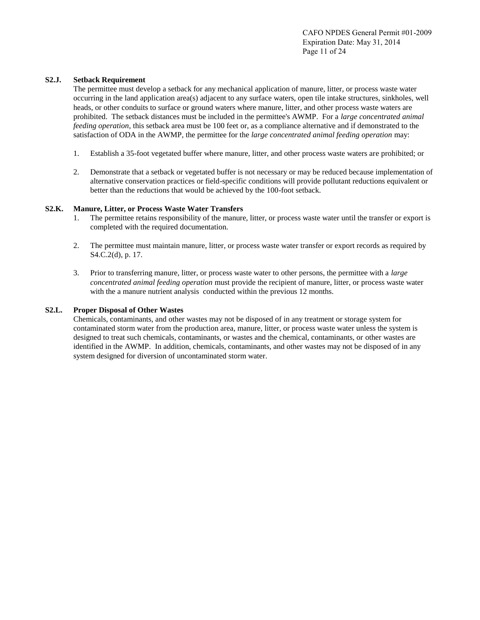### **S2.J. Setback Requirement**

The permittee must develop a setback for any mechanical application of manure, litter, or process waste water occurring in the land application area(s) adjacent to any surface waters, open tile intake structures, sinkholes, well heads, or other conduits to surface or ground waters where manure, litter, and other process waste waters are prohibited. The setback distances must be included in the permittee's AWMP. For a *large concentrated animal feeding operation*, this setback area must be 100 feet or, as a compliance alternative and if demonstrated to the satisfaction of ODA in the AWMP, the permittee for the *large concentrated animal feeding operation* may:

- 1. Establish a 35-foot vegetated buffer where manure, litter, and other process waste waters are prohibited; or
- 2. Demonstrate that a setback or vegetated buffer is not necessary or may be reduced because implementation of alternative conservation practices or field-specific conditions will provide pollutant reductions equivalent or better than the reductions that would be achieved by the 100-foot setback.

### **S2.K. Manure, Litter, or Process Waste Water Transfers**

- 1. The permittee retains responsibility of the manure, litter, or process waste water until the transfer or export is completed with the required documentation.
- 2. The permittee must maintain manure, litter, or process waste water transfer or export records as required by S4.C.2(d), p. 17.
- 3. Prior to transferring manure, litter, or process waste water to other persons, the permittee with a *large concentrated animal feeding operation* must provide the recipient of manure, litter, or process waste water with the a manure nutrient analysis conducted within the previous 12 months.

#### **S2.L. Proper Disposal of Other Wastes**

Chemicals, contaminants, and other wastes may not be disposed of in any treatment or storage system for contaminated storm water from the production area, manure, litter, or process waste water unless the system is designed to treat such chemicals, contaminants, or wastes and the chemical, contaminants, or other wastes are identified in the AWMP. In addition, chemicals, contaminants, and other wastes may not be disposed of in any system designed for diversion of uncontaminated storm water.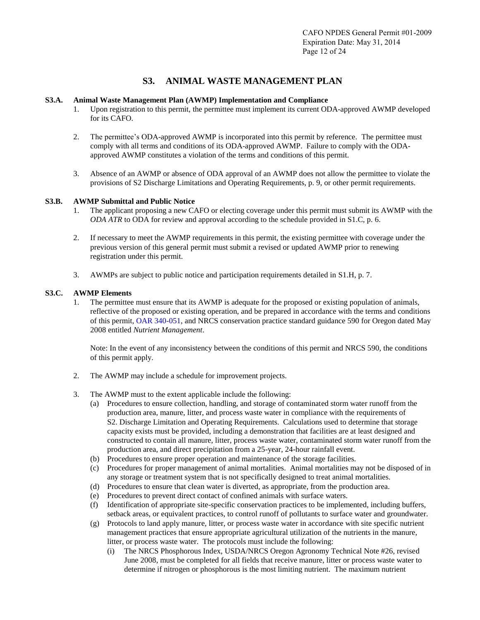## **S3. ANIMAL WASTE MANAGEMENT PLAN**

#### **S3.A. Animal Waste Management Plan (AWMP) Implementation and Compliance**

- 1. Upon registration to this permit, the permittee must implement its current ODA-approved AWMP developed for its CAFO.
- 2. The permittee's ODA-approved AWMP is incorporated into this permit by reference. The permittee must comply with all terms and conditions of its ODA-approved AWMP. Failure to comply with the ODAapproved AWMP constitutes a violation of the terms and conditions of this permit.
- 3. Absence of an AWMP or absence of ODA approval of an AWMP does not allow the permittee to violate the provisions of S2 Discharge Limitations and Operating Requirements, p. 9, or other permit requirements.

### **S3.B. AWMP Submittal and Public Notice**

- 1. The applicant proposing a new CAFO or electing coverage under this permit must submit its AWMP with the *ODA ATR* to ODA for review and approval according to the schedule provided in S1.C, p. 6.
- 2. If necessary to meet the AWMP requirements in this permit, the existing permittee with coverage under the previous version of this general permit must submit a revised or updated AWMP prior to renewing registration under this permit.
- 3. AWMPs are subject to public notice and participation requirements detailed in S1.H, p. 7.

### **S3.C. AWMP Elements**

1. The permittee must ensure that its AWMP is adequate for the proposed or existing population of animals, reflective of the proposed or existing operation, and be prepared in accordance with the terms and conditions of this permit[, OAR 340-051,](http://arcweb.sos.state.or.us/rules/OARs_300/OAR_340/340_051.html) and NRCS conservation practice standard guidance 590 for Oregon dated May 2008 entitled *Nutrient Management*.

Note: In the event of any inconsistency between the conditions of this permit and NRCS 590, the conditions of this permit apply.

- 2. The AWMP may include a schedule for improvement projects.
- 3. The AWMP must to the extent applicable include the following:
	- (a) Procedures to ensure collection, handling, and storage of contaminated storm water runoff from the production area, manure, litter, and process waste water in compliance with the requirements of S2. Discharge Limitation and Operating Requirements. Calculations used to determine that storage capacity exists must be provided, including a demonstration that facilities are at least designed and constructed to contain all manure, litter, process waste water, contaminated storm water runoff from the production area, and direct precipitation from a 25-year, 24-hour rainfall event.
	- (b) Procedures to ensure proper operation and maintenance of the storage facilities.
	- (c) Procedures for proper management of animal mortalities. Animal mortalities may not be disposed of in any storage or treatment system that is not specifically designed to treat animal mortalities.
	- (d) Procedures to ensure that clean water is diverted, as appropriate, from the production area.
	- (e) Procedures to prevent direct contact of confined animals with surface waters.
	- (f) Identification of appropriate site-specific conservation practices to be implemented, including buffers, setback areas, or equivalent practices, to control runoff of pollutants to surface water and groundwater.
	- (g) Protocols to land apply manure, litter, or process waste water in accordance with site specific nutrient management practices that ensure appropriate agricultural utilization of the nutrients in the manure, litter, or process waste water. The protocols must include the following:
		- (i) The NRCS Phosphorous Index, USDA/NRCS Oregon Agronomy Technical Note #26, revised June 2008, must be completed for all fields that receive manure, litter or process waste water to determine if nitrogen or phosphorous is the most limiting nutrient. The maximum nutrient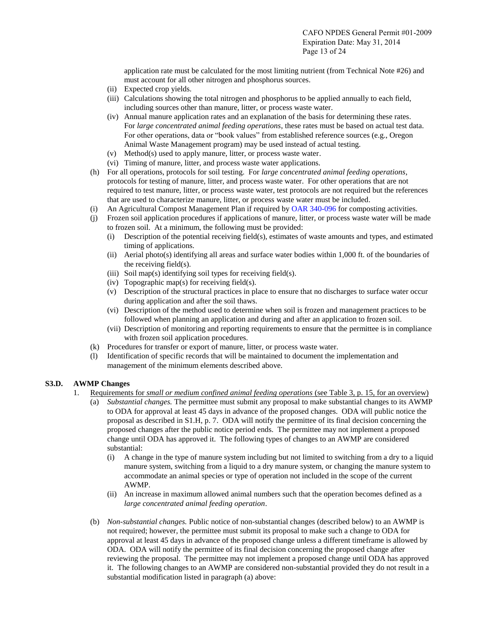application rate must be calculated for the most limiting nutrient (from Technical Note #26) and must account for all other nitrogen and phosphorus sources.

- (ii) Expected crop yields.
- (iii) Calculations showing the total nitrogen and phosphorus to be applied annually to each field, including sources other than manure, litter, or process waste water.
- (iv) Annual manure application rates and an explanation of the basis for determining these rates. For *large concentrated animal feeding operations*, these rates must be based on actual test data. For other operations, data or "book values" from established reference sources (e.g., Oregon Animal Waste Management program) may be used instead of actual testing.
- (v) Method(s) used to apply manure, litter, or process waste water.
- (vi) Timing of manure, litter, and process waste water applications.
- (h) For all operations, protocols for soil testing. For *large concentrated animal feeding operations*, protocols for testing of manure, litter, and process waste water. For other operations that are not required to test manure, litter, or process waste water, test protocols are not required but the references that are used to characterize manure, litter, or process waste water must be included.
- (i) An Agricultural Compost Management Plan if required by [OAR 340-096](http://arcweb.sos.state.or.us/rules/OARs_300/OAR_340/340_096.html) for composting activities.
- (j) Frozen soil application procedures if applications of manure, litter, or process waste water will be made to frozen soil. At a minimum, the following must be provided:
	- (i) Description of the potential receiving field(s), estimates of waste amounts and types, and estimated timing of applications.
	- (ii) Aerial photo(s) identifying all areas and surface water bodies within 1,000 ft. of the boundaries of the receiving field(s).
	- (iii) Soil map(s) identifying soil types for receiving field(s).
	- (iv) Topographic map(s) for receiving field(s).
	- (v) Description of the structural practices in place to ensure that no discharges to surface water occur during application and after the soil thaws.
	- (vi) Description of the method used to determine when soil is frozen and management practices to be followed when planning an application and during and after an application to frozen soil.
	- (vii) Description of monitoring and reporting requirements to ensure that the permittee is in compliance with frozen soil application procedures.
- (k) Procedures for transfer or export of manure, litter, or process waste water.
- (l) Identification of specific records that will be maintained to document the implementation and management of the minimum elements described above.

## **S3.D. AWMP Changes**

- 1. Requirements for *small or medium confined animal feeding operations* (see Table 3, p. 15, for an overview)
	- (a) *Substantial changes.* The permittee must submit any proposal to make substantial changes to its AWMP to ODA for approval at least 45 days in advance of the proposed changes. ODA will public notice the proposal as described in S1.H, p. 7. ODA will notify the permittee of its final decision concerning the proposed changes after the public notice period ends. The permittee may not implement a proposed change until ODA has approved it. The following types of changes to an AWMP are considered substantial:
		- (i) A change in the type of manure system including but not limited to switching from a dry to a liquid manure system, switching from a liquid to a dry manure system, or changing the manure system to accommodate an animal species or type of operation not included in the scope of the current AWMP.
		- (ii) An increase in maximum allowed animal numbers such that the operation becomes defined as a *large concentrated animal feeding operation*.
	- (b) *Non-substantial changes.* Public notice of non-substantial changes (described below) to an AWMP is not required; however, the permittee must submit its proposal to make such a change to ODA for approval at least 45 days in advance of the proposed change unless a different timeframe is allowed by ODA. ODA will notify the permittee of its final decision concerning the proposed change after reviewing the proposal. The permittee may not implement a proposed change until ODA has approved it. The following changes to an AWMP are considered non-substantial provided they do not result in a substantial modification listed in paragraph (a) above: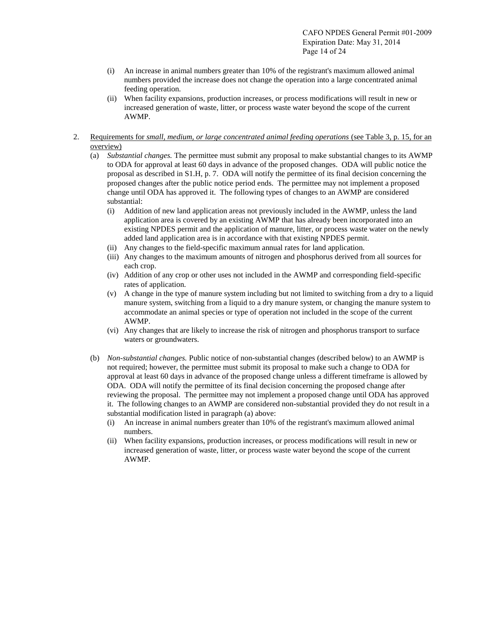- (i) An increase in animal numbers greater than 10% of the registrant's maximum allowed animal numbers provided the increase does not change the operation into a large concentrated animal feeding operation.
- (ii) When facility expansions, production increases, or process modifications will result in new or increased generation of waste, litter, or process waste water beyond the scope of the current AWMP.
- 2. Requirements for *small, medium, or large concentrated animal feeding operations* (see Table 3, p. 15, for an overview)
	- (a) *Substantial changes.* The permittee must submit any proposal to make substantial changes to its AWMP to ODA for approval at least 60 days in advance of the proposed changes. ODA will public notice the proposal as described in S1.H, p. 7. ODA will notify the permittee of its final decision concerning the proposed changes after the public notice period ends. The permittee may not implement a proposed change until ODA has approved it. The following types of changes to an AWMP are considered substantial:
		- (i) Addition of new land application areas not previously included in the AWMP, unless the land application area is covered by an existing AWMP that has already been incorporated into an existing NPDES permit and the application of manure, litter, or process waste water on the newly added land application area is in accordance with that existing NPDES permit.
		- (ii) Any changes to the field-specific maximum annual rates for land application.
		- (iii) Any changes to the maximum amounts of nitrogen and phosphorus derived from all sources for each crop.
		- (iv) Addition of any crop or other uses not included in the AWMP and corresponding field-specific rates of application.
		- (v) A change in the type of manure system including but not limited to switching from a dry to a liquid manure system, switching from a liquid to a dry manure system, or changing the manure system to accommodate an animal species or type of operation not included in the scope of the current AWMP.
		- (vi) Any changes that are likely to increase the risk of nitrogen and phosphorus transport to surface waters or groundwaters.
	- (b) *Non-substantial changes.* Public notice of non-substantial changes (described below) to an AWMP is not required; however, the permittee must submit its proposal to make such a change to ODA for approval at least 60 days in advance of the proposed change unless a different timeframe is allowed by ODA. ODA will notify the permittee of its final decision concerning the proposed change after reviewing the proposal. The permittee may not implement a proposed change until ODA has approved it. The following changes to an AWMP are considered non-substantial provided they do not result in a substantial modification listed in paragraph (a) above:
		- (i) An increase in animal numbers greater than 10% of the registrant's maximum allowed animal numbers.
		- (ii) When facility expansions, production increases, or process modifications will result in new or increased generation of waste, litter, or process waste water beyond the scope of the current AWMP.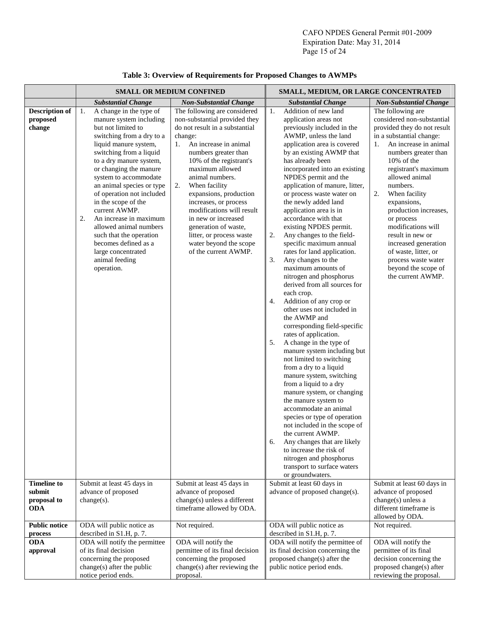|                                                           | <b>SMALL OR MEDIUM CONFINED</b>                                                                                                                                                                                                                                                                                                                                                                                                                                                                                    |                                                                                                                                                                                                                                                                                                                                                                                                                                                                        | SMALL, MEDIUM, OR LARGE CONCENTRATED                                                                                                                                                                                                                                                                                                                                                                                                                                                                                                                                                                                                                                                                                                                                                                                                                                                                                                                                                                                                                                                                                                                                                                                                                                                |                                                                                                                                                                                                                                                                                                                                                                                                                                                                                 |  |
|-----------------------------------------------------------|--------------------------------------------------------------------------------------------------------------------------------------------------------------------------------------------------------------------------------------------------------------------------------------------------------------------------------------------------------------------------------------------------------------------------------------------------------------------------------------------------------------------|------------------------------------------------------------------------------------------------------------------------------------------------------------------------------------------------------------------------------------------------------------------------------------------------------------------------------------------------------------------------------------------------------------------------------------------------------------------------|-------------------------------------------------------------------------------------------------------------------------------------------------------------------------------------------------------------------------------------------------------------------------------------------------------------------------------------------------------------------------------------------------------------------------------------------------------------------------------------------------------------------------------------------------------------------------------------------------------------------------------------------------------------------------------------------------------------------------------------------------------------------------------------------------------------------------------------------------------------------------------------------------------------------------------------------------------------------------------------------------------------------------------------------------------------------------------------------------------------------------------------------------------------------------------------------------------------------------------------------------------------------------------------|---------------------------------------------------------------------------------------------------------------------------------------------------------------------------------------------------------------------------------------------------------------------------------------------------------------------------------------------------------------------------------------------------------------------------------------------------------------------------------|--|
|                                                           | <b>Substantial Change</b>                                                                                                                                                                                                                                                                                                                                                                                                                                                                                          | <b>Non-Substantial Change</b>                                                                                                                                                                                                                                                                                                                                                                                                                                          | <b>Substantial Change</b>                                                                                                                                                                                                                                                                                                                                                                                                                                                                                                                                                                                                                                                                                                                                                                                                                                                                                                                                                                                                                                                                                                                                                                                                                                                           | <b>Non-Substantial Change</b>                                                                                                                                                                                                                                                                                                                                                                                                                                                   |  |
| <b>Description of</b><br>proposed<br>change               | A change in the type of<br>1.<br>manure system including<br>but not limited to<br>switching from a dry to a<br>liquid manure system,<br>switching from a liquid<br>to a dry manure system,<br>or changing the manure<br>system to accommodate<br>an animal species or type<br>of operation not included<br>in the scope of the<br>current AWMP.<br>2.<br>An increase in maximum<br>allowed animal numbers<br>such that the operation<br>becomes defined as a<br>large concentrated<br>animal feeding<br>operation. | The following are considered<br>non-substantial provided they<br>do not result in a substantial<br>change:<br>An increase in animal<br>1.<br>numbers greater than<br>10% of the registrant's<br>maximum allowed<br>animal numbers.<br>2.<br>When facility<br>expansions, production<br>increases, or process<br>modifications will result<br>in new or increased<br>generation of waste,<br>litter, or process waste<br>water beyond the scope<br>of the current AWMP. | Addition of new land<br>1.<br>application areas not<br>previously included in the<br>AWMP, unless the land<br>application area is covered<br>by an existing AWMP that<br>has already been<br>incorporated into an existing<br>NPDES permit and the<br>application of manure, litter,<br>or process waste water on<br>the newly added land<br>application area is in<br>accordance with that<br>existing NPDES permit.<br>2.<br>Any changes to the field-<br>specific maximum annual<br>rates for land application.<br>3.<br>Any changes to the<br>maximum amounts of<br>nitrogen and phosphorus<br>derived from all sources for<br>each crop.<br>Addition of any crop or<br>4.<br>other uses not included in<br>the AWMP and<br>corresponding field-specific<br>rates of application.<br>5.<br>A change in the type of<br>manure system including but<br>not limited to switching<br>from a dry to a liquid<br>manure system, switching<br>from a liquid to a dry<br>manure system, or changing<br>the manure system to<br>accommodate an animal<br>species or type of operation<br>not included in the scope of<br>the current AWMP.<br>Any changes that are likely<br>6.<br>to increase the risk of<br>nitrogen and phosphorus<br>transport to surface waters<br>or groundwaters. | The following are<br>considered non-substantial<br>provided they do not result<br>in a substantial change:<br>An increase in animal<br>1.<br>numbers greater than<br>10% of the<br>registrant's maximum<br>allowed animal<br>numbers.<br>When facility<br>2.<br>expansions,<br>production increases,<br>or process<br>modifications will<br>result in new or<br>increased generation<br>of waste, litter, or<br>process waste water<br>beyond the scope of<br>the current AWMP. |  |
| <b>Timeline to</b><br>submit<br>proposal to<br><b>ODA</b> | Submit at least 45 days in<br>advance of proposed<br>$change(s)$ .                                                                                                                                                                                                                                                                                                                                                                                                                                                 | Submit at least 45 days in<br>advance of proposed<br>change(s) unless a different<br>timeframe allowed by ODA.                                                                                                                                                                                                                                                                                                                                                         | Submit at least 60 days in<br>advance of proposed change(s).                                                                                                                                                                                                                                                                                                                                                                                                                                                                                                                                                                                                                                                                                                                                                                                                                                                                                                                                                                                                                                                                                                                                                                                                                        | Submit at least 60 days in<br>advance of proposed<br>change(s) unless a<br>different timeframe is<br>allowed by ODA.                                                                                                                                                                                                                                                                                                                                                            |  |
| <b>Public notice</b><br>process                           | ODA will public notice as<br>described in S1.H, p. 7.                                                                                                                                                                                                                                                                                                                                                                                                                                                              | Not required.                                                                                                                                                                                                                                                                                                                                                                                                                                                          | ODA will public notice as<br>described in S1.H, p. 7.                                                                                                                                                                                                                                                                                                                                                                                                                                                                                                                                                                                                                                                                                                                                                                                                                                                                                                                                                                                                                                                                                                                                                                                                                               | Not required.                                                                                                                                                                                                                                                                                                                                                                                                                                                                   |  |
| <b>ODA</b><br>approval                                    | ODA will notify the permittee<br>of its final decision<br>concerning the proposed<br>change(s) after the public<br>notice period ends.                                                                                                                                                                                                                                                                                                                                                                             | ODA will notify the<br>permittee of its final decision<br>concerning the proposed<br>change(s) after reviewing the<br>proposal.                                                                                                                                                                                                                                                                                                                                        | ODA will notify the permittee of<br>its final decision concerning the<br>proposed change(s) after the<br>public notice period ends.                                                                                                                                                                                                                                                                                                                                                                                                                                                                                                                                                                                                                                                                                                                                                                                                                                                                                                                                                                                                                                                                                                                                                 | ODA will notify the<br>permittee of its final<br>decision concerning the<br>proposed change(s) after<br>reviewing the proposal.                                                                                                                                                                                                                                                                                                                                                 |  |

## **Table 3: Overview of Requirements for Proposed Changes to AWMPs**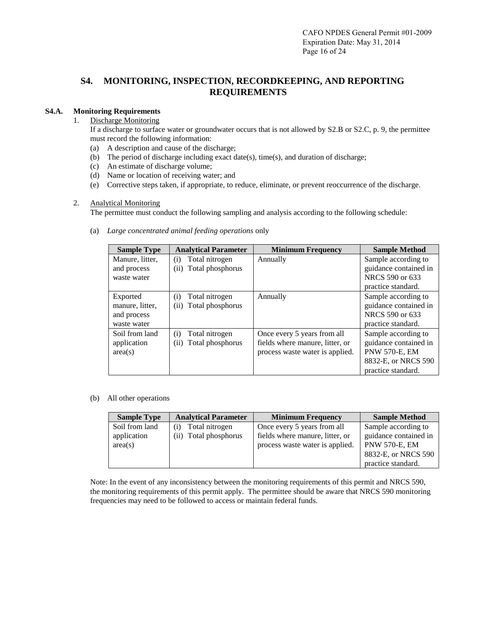## **S4. MONITORING, INSPECTION, RECORDKEEPING, AND REPORTING REQUIREMENTS**

## **S4.A. Monitoring Requirements**

## 1. Discharge Monitoring

If a discharge to surface water or groundwater occurs that is not allowed by S2.B or S2.C, p. 9, the permittee must record the following information:

- (a) A description and cause of the discharge;
- (b) The period of discharge including exact date(s), time(s), and duration of discharge;
- (c) An estimate of discharge volume;
- (d) Name or location of receiving water; and
- (e) Corrective steps taken, if appropriate, to reduce, eliminate, or prevent reoccurrence of the discharge.

## 2. Analytical Monitoring

The permittee must conduct the following sampling and analysis according to the following schedule:

| <b>Sample Type</b> | <b>Analytical Parameter</b> | <b>Minimum Frequency</b>        | <b>Sample Method</b>  |
|--------------------|-----------------------------|---------------------------------|-----------------------|
| Manure, litter,    | Total nitrogen<br>(i)       | Annually                        | Sample according to   |
| and process        | Total phosphorus<br>(ii)    |                                 | guidance contained in |
| waste water        |                             |                                 | NRCS 590 or 633       |
|                    |                             |                                 | practice standard.    |
| Exported           | Total nitrogen<br>(i)       | Annually                        | Sample according to   |
| manure, litter,    | Total phosphorus<br>(ii)    |                                 | guidance contained in |
| and process        |                             |                                 | NRCS 590 or 633       |
| waste water        |                             |                                 | practice standard.    |
| Soil from land     | Total nitrogen<br>(i)       | Once every 5 years from all     | Sample according to   |
| application        | Total phosphorus<br>(ii)    | fields where manure, litter, or | guidance contained in |
| area(s)            |                             | process waste water is applied. | <b>PNW 570-E, EM</b>  |
|                    |                             |                                 | 8832-E, or NRCS 590   |
|                    |                             |                                 | practice standard.    |

(a) *Large concentrated animal feeding operations* only

(b) All other operations

| <b>Sample Type</b> | <b>Analytical Parameter</b> | <b>Minimum Frequency</b>        | <b>Sample Method</b>  |
|--------------------|-----------------------------|---------------------------------|-----------------------|
| Soil from land     | Total nitrogen<br>(i)       | Once every 5 years from all     | Sample according to   |
| application        | (ii) Total phosphorus       | fields where manure, litter, or | guidance contained in |
| area(s)            |                             | process waste water is applied. | <b>PNW 570-E, EM</b>  |
|                    |                             |                                 | 8832-E, or NRCS 590   |
|                    |                             |                                 | practice standard.    |

Note: In the event of any inconsistency between the monitoring requirements of this permit and NRCS 590, the monitoring requirements of this permit apply. The permittee should be aware that NRCS 590 monitoring frequencies may need to be followed to access or maintain federal funds.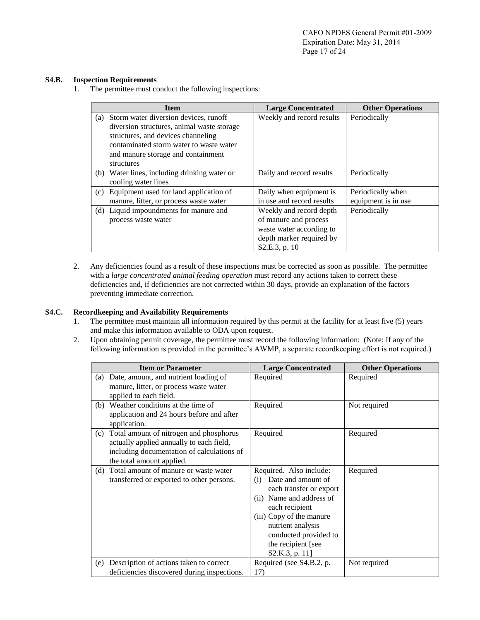### **S4.B. Inspection Requirements**

1. The permittee must conduct the following inspections:

|     | <b>Item</b>                                                                                                                                                                                                              | <b>Large Concentrated</b>                                                                                                 | <b>Other Operations</b>                  |
|-----|--------------------------------------------------------------------------------------------------------------------------------------------------------------------------------------------------------------------------|---------------------------------------------------------------------------------------------------------------------------|------------------------------------------|
| (a) | Storm water diversion devices, runoff<br>diversion structures, animal waste storage<br>structures, and devices channeling<br>contaminated storm water to waste water<br>and manure storage and containment<br>structures | Weekly and record results                                                                                                 | Periodically                             |
|     | (b) Water lines, including drinking water or<br>cooling water lines                                                                                                                                                      | Daily and record results                                                                                                  | Periodically                             |
| (c) | Equipment used for land application of<br>manure, litter, or process waste water                                                                                                                                         | Daily when equipment is<br>in use and record results                                                                      | Periodically when<br>equipment is in use |
|     | (d) Liquid impoundments for manure and<br>process waste water                                                                                                                                                            | Weekly and record depth<br>of manure and process<br>waste water according to<br>depth marker required by<br>S2.E.3, p. 10 | Periodically                             |

2. Any deficiencies found as a result of these inspections must be corrected as soon as possible. The permittee with a *large concentrated animal feeding operation* must record any actions taken to correct these deficiencies and, if deficiencies are not corrected within 30 days, provide an explanation of the factors preventing immediate correction.

## **S4.C. Recordkeeping and Availability Requirements**

- 1. The permittee must maintain all information required by this permit at the facility for at least five (5) years and make this information available to ODA upon request.
- 2. Upon obtaining permit coverage, the permittee must record the following information: (Note: If any of the following information is provided in the permittee's AWMP, a separate recordkeeping effort is not required.)

|     | <b>Item or Parameter</b>                                                                                                                                       | <b>Large Concentrated</b>                                                                                                                                                                                                                       | <b>Other Operations</b> |
|-----|----------------------------------------------------------------------------------------------------------------------------------------------------------------|-------------------------------------------------------------------------------------------------------------------------------------------------------------------------------------------------------------------------------------------------|-------------------------|
|     | (a) Date, amount, and nutrient loading of<br>manure, litter, or process waste water<br>applied to each field.                                                  | Required                                                                                                                                                                                                                                        | Required                |
|     | (b) Weather conditions at the time of<br>application and 24 hours before and after<br>application.                                                             | Required                                                                                                                                                                                                                                        | Not required            |
| (c) | Total amount of nitrogen and phosphorus<br>actually applied annually to each field,<br>including documentation of calculations of<br>the total amount applied. | Required                                                                                                                                                                                                                                        | Required                |
| (d) | Total amount of manure or waste water<br>transferred or exported to other persons.                                                                             | Required. Also include:<br>Date and amount of<br>(i)<br>each transfer or export<br>(ii) Name and address of<br>each recipient<br>(iii) Copy of the manure<br>nutrient analysis<br>conducted provided to<br>the recipient [see<br>S2.K.3, p. 11] | Required                |
| (e) | Description of actions taken to correct<br>deficiencies discovered during inspections.                                                                         | Required (see S4.B.2, p.<br>17)                                                                                                                                                                                                                 | Not required            |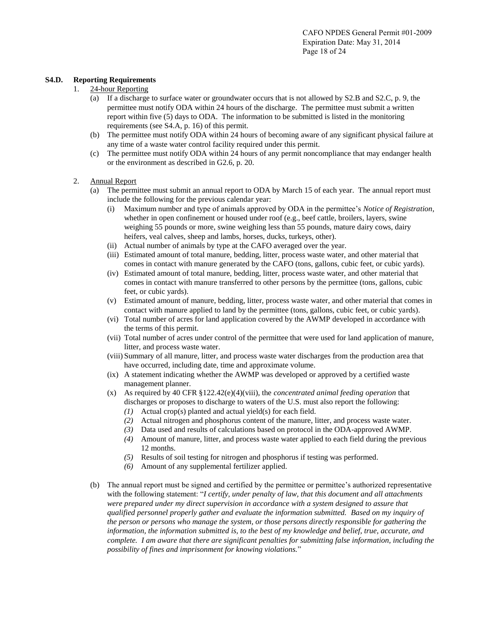### **S4.D. Reporting Requirements**

### 1. 24-hour Reporting

- (a) If a discharge to surface water or groundwater occurs that is not allowed by S2.B and S2.C, p. 9, the permittee must notify ODA within 24 hours of the discharge. The permittee must submit a written report within five (5) days to ODA. The information to be submitted is listed in the monitoring requirements (see S4.A, p. 16) of this permit.
- (b) The permittee must notify ODA within 24 hours of becoming aware of any significant physical failure at any time of a waste water control facility required under this permit.
- (c) The permittee must notify ODA within 24 hours of any permit noncompliance that may endanger health or the environment as described in G2.6, p. 20.

### 2. Annual Report

- (a) The permittee must submit an annual report to ODA by March 15 of each year. The annual report must include the following for the previous calendar year:
	- (i) Maximum number and type of animals approved by ODA in the permittee's *Notice of Registration*, whether in open confinement or housed under roof (e.g., beef cattle, broilers, layers, swine weighing 55 pounds or more, swine weighing less than 55 pounds, mature dairy cows, dairy heifers, veal calves, sheep and lambs, horses, ducks, turkeys, other).
	- (ii) Actual number of animals by type at the CAFO averaged over the year.
	- (iii) Estimated amount of total manure, bedding, litter, process waste water, and other material that comes in contact with manure generated by the CAFO (tons, gallons, cubic feet, or cubic yards).
	- (iv) Estimated amount of total manure, bedding, litter, process waste water, and other material that comes in contact with manure transferred to other persons by the permittee (tons, gallons, cubic feet, or cubic yards).
	- (v) Estimated amount of manure, bedding, litter, process waste water, and other material that comes in contact with manure applied to land by the permittee (tons, gallons, cubic feet, or cubic yards).
	- (vi) Total number of acres for land application covered by the AWMP developed in accordance with the terms of this permit.
	- (vii) Total number of acres under control of the permittee that were used for land application of manure, litter, and process waste water.
	- (viii) Summary of all manure, litter, and process waste water discharges from the production area that have occurred, including date, time and approximate volume.
	- (ix) A statement indicating whether the AWMP was developed or approved by a certified waste management planner.
	- (x) As required by 40 CFR §122.42(e)(4)(viii), the *concentrated animal feeding operation* that discharges or proposes to discharge to waters of the U.S. must also report the following:
		- *(1)* Actual crop(s) planted and actual yield(s) for each field.
		- *(2)* Actual nitrogen and phosphorus content of the manure, litter, and process waste water.
		- *(3)* Data used and results of calculations based on protocol in the ODA-approved AWMP.
		- *(4)* Amount of manure, litter, and process waste water applied to each field during the previous 12 months.
		- *(5)* Results of soil testing for nitrogen and phosphorus if testing was performed.
		- *(6)* Amount of any supplemental fertilizer applied.
- (b) The annual report must be signed and certified by the permittee or permittee's authorized representative with the following statement: "*I certify, under penalty of law, that this document and all attachments were prepared under my direct supervision in accordance with a system designed to assure that qualified personnel properly gather and evaluate the information submitted. Based on my inquiry of the person or persons who manage the system, or those persons directly responsible for gathering the information, the information submitted is, to the best of my knowledge and belief, true, accurate, and complete. I am aware that there are significant penalties for submitting false information, including the possibility of fines and imprisonment for knowing violations.*"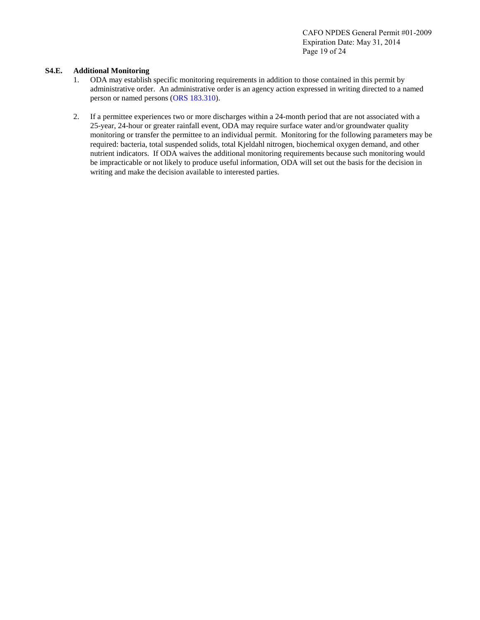CAFO NPDES General Permit #01-2009 Expiration Date: May 31, 2014 Page 19 of 24

### **S4.E. Additional Monitoring**

- 1. ODA may establish specific monitoring requirements in addition to those contained in this permit by administrative order. An administrative order is an agency action expressed in writing directed to a named person or named persons [\(ORS 183.310\)](http://www.leg.state.or.us/ors/183.html).
- 2. If a permittee experiences two or more discharges within a 24-month period that are not associated with a 25-year, 24-hour or greater rainfall event, ODA may require surface water and/or groundwater quality monitoring or transfer the permittee to an individual permit. Monitoring for the following parameters may be required: bacteria, total suspended solids, total Kjeldahl nitrogen, biochemical oxygen demand, and other nutrient indicators. If ODA waives the additional monitoring requirements because such monitoring would be impracticable or not likely to produce useful information, ODA will set out the basis for the decision in writing and make the decision available to interested parties.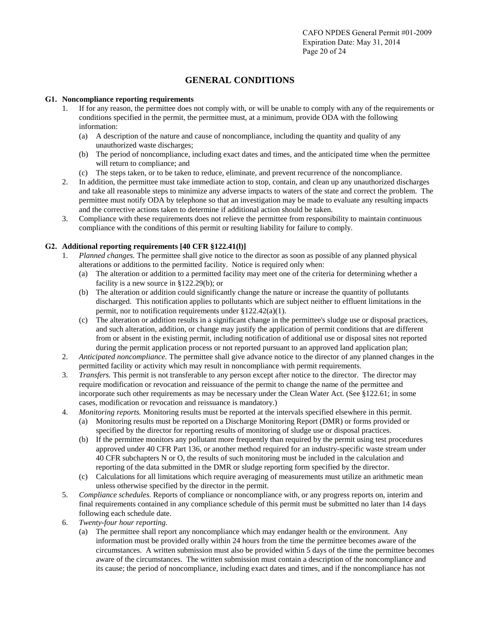## **GENERAL CONDITIONS**

## **G1. Noncompliance reporting requirements**

- 1. If for any reason, the permittee does not comply with, or will be unable to comply with any of the requirements or conditions specified in the permit, the permittee must, at a minimum, provide ODA with the following information:
	- (a) A description of the nature and cause of noncompliance, including the quantity and quality of any unauthorized waste discharges;
	- (b) The period of noncompliance, including exact dates and times, and the anticipated time when the permittee will return to compliance; and
	- (c) The steps taken, or to be taken to reduce, eliminate, and prevent recurrence of the noncompliance.
- 2. In addition, the permittee must take immediate action to stop, contain, and clean up any unauthorized discharges and take all reasonable steps to minimize any adverse impacts to waters of the state and correct the problem. The permittee must notify ODA by telephone so that an investigation may be made to evaluate any resulting impacts and the corrective actions taken to determine if additional action should be taken.
- 3. Compliance with these requirements does not relieve the permittee from responsibility to maintain continuous compliance with the conditions of this permit or resulting liability for failure to comply.

## **G2. Additional reporting requirements [40 CFR §122.41(l)]**

- 1. *Planned changes.* The permittee shall give notice to the director as soon as possible of any planned physical alterations or additions to the permitted facility. Notice is required only when:
	- (a) The alteration or addition to a permitted facility may meet one of the criteria for determining whether a facility is a new source in §122.29(b); or
	- (b) The alteration or addition could significantly change the nature or increase the quantity of pollutants discharged. This notification applies to pollutants which are subject neither to effluent limitations in the permit, nor to notification requirements under §122.42(a)(1).
	- (c) The alteration or addition results in a significant change in the permittee's sludge use or disposal practices, and such alteration, addition, or change may justify the application of permit conditions that are different from or absent in the existing permit, including notification of additional use or disposal sites not reported during the permit application process or not reported pursuant to an approved land application plan;
- 2. *Anticipated noncompliance.* The permittee shall give advance notice to the director of any planned changes in the permitted facility or activity which may result in noncompliance with permit requirements.
- 3. *Transfers.* This permit is not transferable to any person except after notice to the director. The director may require modification or revocation and reissuance of the permit to change the name of the permittee and incorporate such other requirements as may be necessary under the Clean Water Act. (See §122.61; in some cases, modification or revocation and reissuance is mandatory.)
- 4. *Monitoring reports.* Monitoring results must be reported at the intervals specified elsewhere in this permit.
	- (a) Monitoring results must be reported on a Discharge Monitoring Report (DMR) or forms provided or specified by the director for reporting results of monitoring of sludge use or disposal practices.
	- (b) If the permittee monitors any pollutant more frequently than required by the permit using test procedures approved under 40 CFR Part 136, or another method required for an industry-specific waste stream under 40 CFR subchapters N or O, the results of such monitoring must be included in the calculation and reporting of the data submitted in the DMR or sludge reporting form specified by the director.
	- (c) Calculations for all limitations which require averaging of measurements must utilize an arithmetic mean unless otherwise specified by the director in the permit.
- 5. *Compliance schedules.* Reports of compliance or noncompliance with, or any progress reports on, interim and final requirements contained in any compliance schedule of this permit must be submitted no later than 14 days following each schedule date.
- 6. *Twenty-four hour reporting.* 
	- (a) The permittee shall report any noncompliance which may endanger health or the environment. Any information must be provided orally within 24 hours from the time the permittee becomes aware of the circumstances. A written submission must also be provided within 5 days of the time the permittee becomes aware of the circumstances. The written submission must contain a description of the noncompliance and its cause; the period of noncompliance, including exact dates and times, and if the noncompliance has not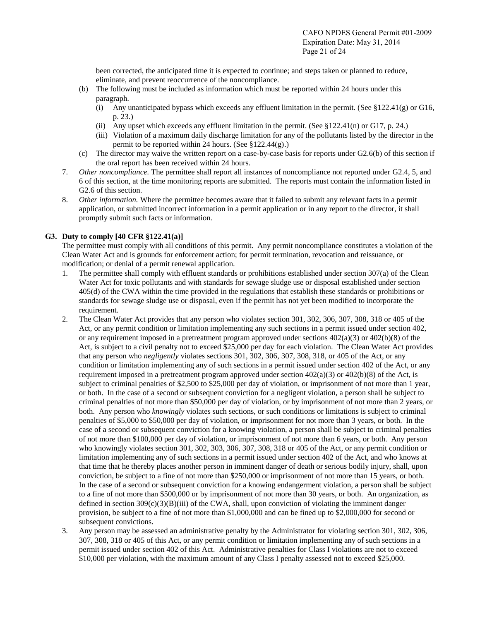been corrected, the anticipated time it is expected to continue; and steps taken or planned to reduce, eliminate, and prevent reoccurrence of the noncompliance.

- (b) The following must be included as information which must be reported within 24 hours under this paragraph.
	- (i) Any unanticipated bypass which exceeds any effluent limitation in the permit. (See §122.41(g) or G16, p. 23.)
	- (ii) Any upset which exceeds any effluent limitation in the permit. (See §122.41(n) or G17, p. 24.)
	- (iii) Violation of a maximum daily discharge limitation for any of the pollutants listed by the director in the permit to be reported within 24 hours. (See §122.44(g).)
- (c) The director may waive the written report on a case-by-case basis for reports under G2.6(b) of this section if the oral report has been received within 24 hours.
- 7. *Other noncompliance.* The permittee shall report all instances of noncompliance not reported under G2.4, 5, and 6 of this section, at the time monitoring reports are submitted. The reports must contain the information listed in G2.6 of this section.
- 8. *Other information.* Where the permittee becomes aware that it failed to submit any relevant facts in a permit application, or submitted incorrect information in a permit application or in any report to the director, it shall promptly submit such facts or information.

## **G3. Duty to comply [40 CFR §122.41(a)]**

The permittee must comply with all conditions of this permit. Any permit noncompliance constitutes a violation of the Clean Water Act and is grounds for enforcement action; for permit termination, revocation and reissuance, or modification; or denial of a permit renewal application.

- 1. The permittee shall comply with effluent standards or prohibitions established under section 307(a) of the Clean Water Act for toxic pollutants and with standards for sewage sludge use or disposal established under section 405(d) of the CWA within the time provided in the regulations that establish these standards or prohibitions or standards for sewage sludge use or disposal, even if the permit has not yet been modified to incorporate the requirement.
- 2. The Clean Water Act provides that any person who violates section 301, 302, 306, 307, 308, 318 or 405 of the Act, or any permit condition or limitation implementing any such sections in a permit issued under section 402, or any requirement imposed in a pretreatment program approved under sections  $402(a)(3)$  or  $402(b)(8)$  of the Act, is subject to a civil penalty not to exceed \$25,000 per day for each violation. The Clean Water Act provides that any person who *negligently* violates sections 301, 302, 306, 307, 308, 318, or 405 of the Act, or any condition or limitation implementing any of such sections in a permit issued under section 402 of the Act, or any requirement imposed in a pretreatment program approved under section  $402(a)(3)$  or  $402(b)(8)$  of the Act, is subject to criminal penalties of \$2,500 to \$25,000 per day of violation, or imprisonment of not more than 1 year, or both. In the case of a second or subsequent conviction for a negligent violation, a person shall be subject to criminal penalties of not more than \$50,000 per day of violation, or by imprisonment of not more than 2 years, or both. Any person who *knowingly* violates such sections, or such conditions or limitations is subject to criminal penalties of \$5,000 to \$50,000 per day of violation, or imprisonment for not more than 3 years, or both. In the case of a second or subsequent conviction for a knowing violation, a person shall be subject to criminal penalties of not more than \$100,000 per day of violation, or imprisonment of not more than 6 years, or both. Any person who knowingly violates section 301, 302, 303, 306, 307, 308, 318 or 405 of the Act, or any permit condition or limitation implementing any of such sections in a permit issued under section 402 of the Act, and who knows at that time that he thereby places another person in imminent danger of death or serious bodily injury, shall, upon conviction, be subject to a fine of not more than \$250,000 or imprisonment of not more than 15 years, or both. In the case of a second or subsequent conviction for a knowing endangerment violation, a person shall be subject to a fine of not more than \$500,000 or by imprisonment of not more than 30 years, or both. An organization, as defined in section  $309(c)(3)(B)(iii)$  of the CWA, shall, upon conviction of violating the imminent danger provision, be subject to a fine of not more than \$1,000,000 and can be fined up to \$2,000,000 for second or subsequent convictions.
- 3. Any person may be assessed an administrative penalty by the Administrator for violating section 301, 302, 306, 307, 308, 318 or 405 of this Act, or any permit condition or limitation implementing any of such sections in a permit issued under section 402 of this Act. Administrative penalties for Class I violations are not to exceed \$10,000 per violation, with the maximum amount of any Class I penalty assessed not to exceed \$25,000.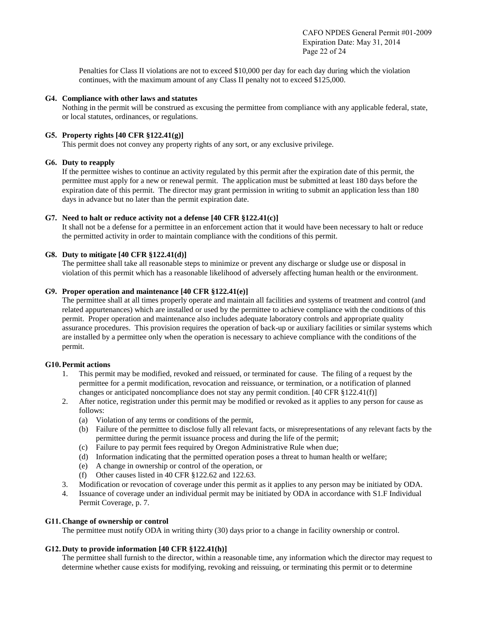Penalties for Class II violations are not to exceed \$10,000 per day for each day during which the violation continues, with the maximum amount of any Class II penalty not to exceed \$125,000.

### **G4. Compliance with other laws and statutes**

Nothing in the permit will be construed as excusing the permittee from compliance with any applicable federal, state, or local statutes, ordinances, or regulations.

## **G5. Property rights [40 CFR §122.41(g)]**

This permit does not convey any property rights of any sort, or any exclusive privilege.

### **G6. Duty to reapply**

If the permittee wishes to continue an activity regulated by this permit after the expiration date of this permit, the permittee must apply for a new or renewal permit. The application must be submitted at least 180 days before the expiration date of this permit. The director may grant permission in writing to submit an application less than 180 days in advance but no later than the permit expiration date.

### **G7. Need to halt or reduce activity not a defense [40 CFR §122.41(c)]**

It shall not be a defense for a permittee in an enforcement action that it would have been necessary to halt or reduce the permitted activity in order to maintain compliance with the conditions of this permit.

### **G8. Duty to mitigate [40 CFR §122.41(d)]**

The permittee shall take all reasonable steps to minimize or prevent any discharge or sludge use or disposal in violation of this permit which has a reasonable likelihood of adversely affecting human health or the environment.

### **G9. Proper operation and maintenance [40 CFR §122.41(e)]**

The permittee shall at all times properly operate and maintain all facilities and systems of treatment and control (and related appurtenances) which are installed or used by the permittee to achieve compliance with the conditions of this permit. Proper operation and maintenance also includes adequate laboratory controls and appropriate quality assurance procedures. This provision requires the operation of back-up or auxiliary facilities or similar systems which are installed by a permittee only when the operation is necessary to achieve compliance with the conditions of the permit.

#### **G10.Permit actions**

- 1. This permit may be modified, revoked and reissued, or terminated for cause. The filing of a request by the permittee for a permit modification, revocation and reissuance, or termination, or a notification of planned changes or anticipated noncompliance does not stay any permit condition. [40 CFR §122.41(f)]
- 2. After notice, registration under this permit may be modified or revoked as it applies to any person for cause as follows:
	- (a) Violation of any terms or conditions of the permit,
	- (b) Failure of the permittee to disclose fully all relevant facts, or misrepresentations of any relevant facts by the permittee during the permit issuance process and during the life of the permit;
	- (c) Failure to pay permit fees required by Oregon Administrative Rule when due;
	- (d) Information indicating that the permitted operation poses a threat to human health or welfare;
	- (e) A change in ownership or control of the operation, or
	- (f) Other causes listed in 40 CFR §122.62 and 122.63.
- 3. Modification or revocation of coverage under this permit as it applies to any person may be initiated by ODA.
- 4. Issuance of coverage under an individual permit may be initiated by ODA in accordance with S1.F Individual Permit Coverage, p. 7.

## **G11.Change of ownership or control**

The permittee must notify ODA in writing thirty (30) days prior to a change in facility ownership or control.

## **G12.Duty to provide information [40 CFR §122.41(h)]**

The permittee shall furnish to the director, within a reasonable time, any information which the director may request to determine whether cause exists for modifying, revoking and reissuing, or terminating this permit or to determine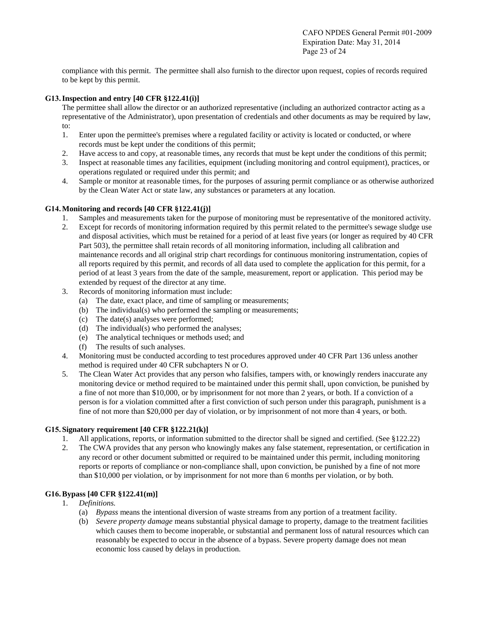compliance with this permit. The permittee shall also furnish to the director upon request, copies of records required to be kept by this permit.

## **G13.Inspection and entry [40 CFR §122.41(i)]**

The permittee shall allow the director or an authorized representative (including an authorized contractor acting as a representative of the Administrator), upon presentation of credentials and other documents as may be required by law, to:

- 1. Enter upon the permittee's premises where a regulated facility or activity is located or conducted, or where records must be kept under the conditions of this permit;
- 2. Have access to and copy, at reasonable times, any records that must be kept under the conditions of this permit;
- 3. Inspect at reasonable times any facilities, equipment (including monitoring and control equipment), practices, or operations regulated or required under this permit; and
- 4. Sample or monitor at reasonable times, for the purposes of assuring permit compliance or as otherwise authorized by the Clean Water Act or state law, any substances or parameters at any location.

## **G14.Monitoring and records [40 CFR §122.41(j)]**

- 1. Samples and measurements taken for the purpose of monitoring must be representative of the monitored activity.
- 2. Except for records of monitoring information required by this permit related to the permittee's sewage sludge use and disposal activities, which must be retained for a period of at least five years (or longer as required by 40 CFR Part 503), the permittee shall retain records of all monitoring information, including all calibration and maintenance records and all original strip chart recordings for continuous monitoring instrumentation, copies of all reports required by this permit, and records of all data used to complete the application for this permit, for a period of at least 3 years from the date of the sample, measurement, report or application. This period may be extended by request of the director at any time.
- 3. Records of monitoring information must include:
	- (a) The date, exact place, and time of sampling or measurements;
	- (b) The individual(s) who performed the sampling or measurements;
	- (c) The date(s) analyses were performed;
	- (d) The individual(s) who performed the analyses;
	- (e) The analytical techniques or methods used; and
	- (f) The results of such analyses.
- 4. Monitoring must be conducted according to test procedures approved under 40 CFR Part 136 unless another method is required under 40 CFR subchapters N or O.
- 5. The Clean Water Act provides that any person who falsifies, tampers with, or knowingly renders inaccurate any monitoring device or method required to be maintained under this permit shall, upon conviction, be punished by a fine of not more than \$10,000, or by imprisonment for not more than 2 years, or both. If a conviction of a person is for a violation committed after a first conviction of such person under this paragraph, punishment is a fine of not more than \$20,000 per day of violation, or by imprisonment of not more than 4 years, or both.

## **G15. Signatory requirement [40 CFR §122.21(k)]**

- 1. All applications, reports, or information submitted to the director shall be signed and certified. (See §122.22)
- 2. The CWA provides that any person who knowingly makes any false statement, representation, or certification in any record or other document submitted or required to be maintained under this permit, including monitoring reports or reports of compliance or non-compliance shall, upon conviction, be punished by a fine of not more than \$10,000 per violation, or by imprisonment for not more than 6 months per violation, or by both.

## **G16.Bypass [40 CFR §122.41(m)]**

- 1. *Definitions.*
	- (a) *Bypass* means the intentional diversion of waste streams from any portion of a treatment facility.
	- (b) *Severe property damage* means substantial physical damage to property, damage to the treatment facilities which causes them to become inoperable, or substantial and permanent loss of natural resources which can reasonably be expected to occur in the absence of a bypass. Severe property damage does not mean economic loss caused by delays in production.